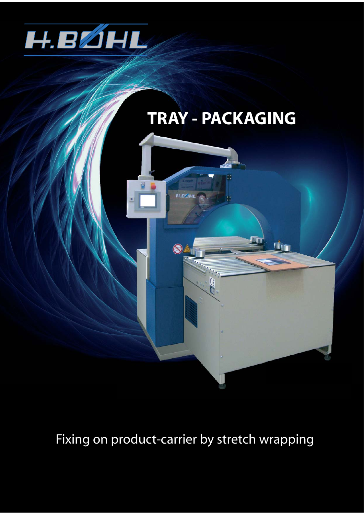



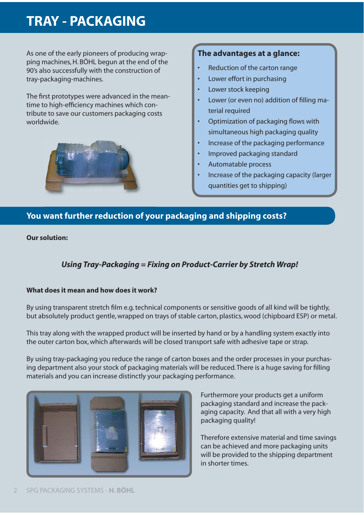# **TRAY - PACKAGING**

As one of the early pioneers of producing wrapping machines, H. BÖHL begun at the end of the 90's also successfully with the construction of tray-packaging-machines.

The first prototypes were advanced in the meantime to high-efficiency machines which contribute to save our customers packaging costs worldwide.



## **The advantages at a glance:**

- Reduction of the carton range
- Lower effort in purchasing
- Lower stock keeping
- Lower (or even no) addition of filling material required
- Optimization of packaging flows with simultaneous high packaging quality
- Increase of the packaging performance
- Improved packaging standard
- Automatable process
- Increase of the packaging capacity (larger quantities get to shipping)

## **You want further reduction of your packaging and shipping costs?**

**Our solution:**

## *Using Tray-Packaging = Fixing on Product-Carrier by Stretch Wrap!*

#### **What does it mean and how does it work?**

By using transparent stretch film e.g. technical components or sensitive goods of all kind will be tightly, but absolutely product gentle, wrapped on trays of stable carton, plastics, wood (chipboard ESP) or metal.

This tray along with the wrapped product will be inserted by hand or by a handling system exactly into the outer carton box, which afterwards will be closed transport safe with adhesive tape or strap.

By using tray-packaging you reduce the range of carton boxes and the order processes in your purchasing department also your stock of packaging materials will be reduced. There is a huge saving for filling materials and you can increase distinctly your packaging performance.



Furthermore your products get a uniform packaging standard and increase the packaging capacity. And that all with a very high packaging quality!

Therefore extensive material and time savings can be achieved and more packaging units will be provided to the shipping department in shorter times.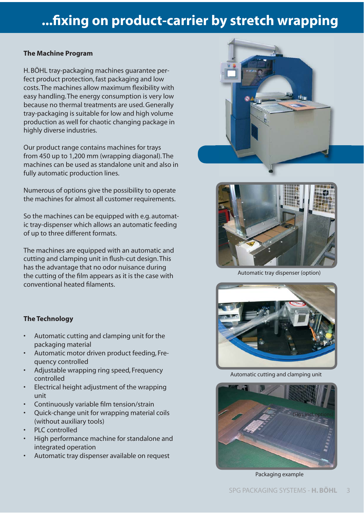# **...fi xing on product-carrier by stretch wrapping**

#### **The Machine Program**

H. BÖHL tray-packaging machines guarantee perfect product protection, fast packaging and low costs. The machines allow maximum flexibility with easy handling. The energy consumption is very low because no thermal treatments are used. Generally tray-packaging is suitable for low and high volume production as well for chaotic changing package in highly diverse industries.

Our product range contains machines for trays from 450 up to 1,200 mm (wrapping diagonal). The machines can be used as standalone unit and also in fully automatic production lines.

Numerous of options give the possibility to operate the machines for almost all customer requirements.

So the machines can be equipped with e.g. automatic tray-dispenser which allows an automatic feeding of up to three different formats.

The machines are equipped with an automatic and cutting and clamping unit in flush-cut design. This has the advantage that no odor nuisance during the cutting of the film appears as it is the case with conventional heated filaments.



Automatic tray dispenser (option)



Automatic cutting and clamping unit



Packaging example

### **The Technology**

- Automatic cutting and clamping unit for the packaging material
- Automatic motor driven product feeding, Frequency controlled
- Adjustable wrapping ring speed, Frequency controlled
- Electrical height adjustment of the wrapping unit
- Continuously variable film tension/strain
- Quick-change unit for wrapping material coils (without auxiliary tools)
- PLC controlled
- High performance machine for standalone and integrated operation
- Automatic tray dispenser available on request